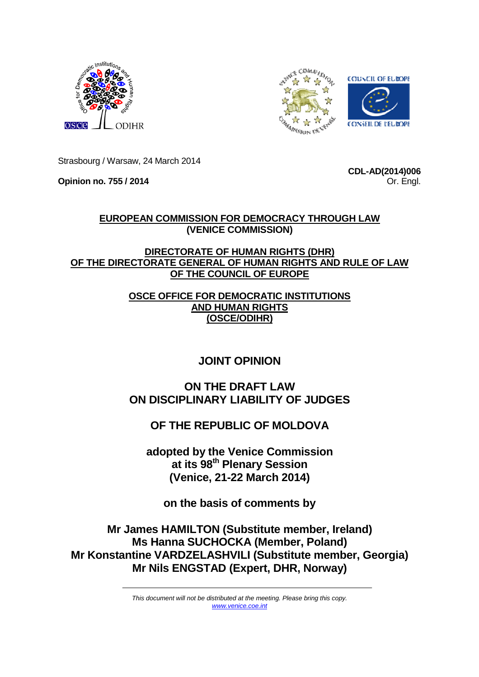



Strasbourg / Warsaw, 24 March 2014

**Opinion no. 755 / 2014** 

**CDL-AD(2014)006** Or. Engl.

## **EUROPEAN COMMISSION FOR DEMOCRACY THROUGH LAW (VENICE COMMISSION)**

## **DIRECTORATE OF HUMAN RIGHTS (DHR) OF THE DIRECTORATE GENERAL OF HUMAN RIGHTS AND RULE OF LAW OF THE COUNCIL OF EUROPE**

## **OSCE OFFICE FOR DEMOCRATIC INSTITUTIONS AND HUMAN RIGHTS (OSCE/ODIHR)**

# **JOINT OPINION**

## **ON THE DRAFT LAW ON DISCIPLINARY LIABILITY OF JUDGES**

# **OF THE REPUBLIC OF MOLDOVA**

**adopted by the Venice Commission at its 98th Plenary Session (Venice, 21-22 March 2014)** 

**on the basis of comments by** 

**Mr James HAMILTON (Substitute member, Ireland) Ms Hanna SUCHOCKA (Member, Poland) Mr Konstantine VARDZELASHVILI (Substitute member, Georgia) Mr Nils ENGSTAD (Expert, DHR, Norway)** 

> This document will not be distributed at the meeting. Please bring this copy. www.venice.coe.int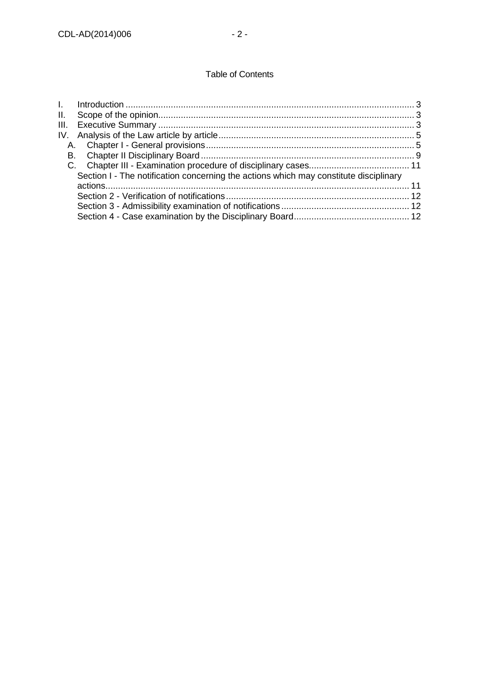### Table of Contents

| Section I - The notification concerning the actions which may constitute disciplinary |
|---------------------------------------------------------------------------------------|
|                                                                                       |
|                                                                                       |
|                                                                                       |
|                                                                                       |
|                                                                                       |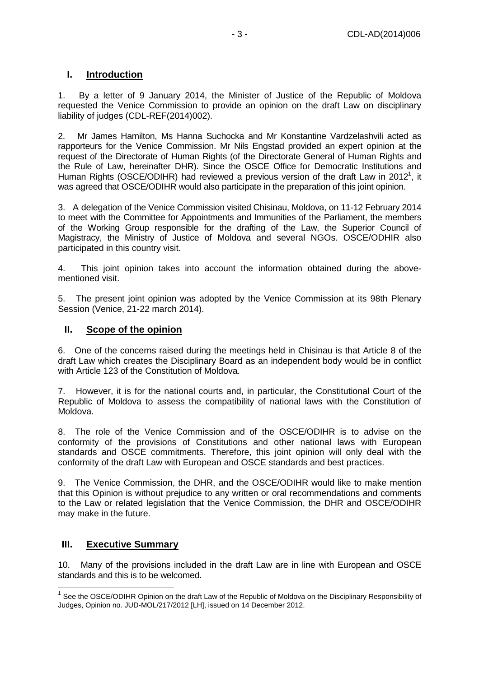## **I. Introduction**

1. By a letter of 9 January 2014, the Minister of Justice of the Republic of Moldova requested the Venice Commission to provide an opinion on the draft Law on disciplinary liability of judges (CDL-REF(2014)002).

2. Mr James Hamilton, Ms Hanna Suchocka and Mr Konstantine Vardzelashvili acted as rapporteurs for the Venice Commission. Mr Nils Engstad provided an expert opinion at the request of the Directorate of Human Rights (of the Directorate General of Human Rights and the Rule of Law, hereinafter DHR). Since the OSCE Office for Democratic Institutions and Human Rights (OSCE/ODIHR) had reviewed a previous version of the draft Law in 2012<sup>1</sup>, it was agreed that OSCE/ODIHR would also participate in the preparation of this joint opinion.

3. A delegation of the Venice Commission visited Chisinau, Moldova, on 11-12 February 2014 to meet with the Committee for Appointments and Immunities of the Parliament, the members of the Working Group responsible for the drafting of the Law, the Superior Council of Magistracy, the Ministry of Justice of Moldova and several NGOs. OSCE/ODHIR also participated in this country visit.

4. This joint opinion takes into account the information obtained during the abovementioned visit.

5. The present joint opinion was adopted by the Venice Commission at its 98th Plenary Session (Venice, 21-22 march 2014).

#### **II. Scope of the opinion**

6. One of the concerns raised during the meetings held in Chisinau is that Article 8 of the draft Law which creates the Disciplinary Board as an independent body would be in conflict with Article 123 of the Constitution of Moldova.

7. However, it is for the national courts and, in particular, the Constitutional Court of the Republic of Moldova to assess the compatibility of national laws with the Constitution of Moldova.

8. The role of the Venice Commission and of the OSCE/ODIHR is to advise on the conformity of the provisions of Constitutions and other national laws with European standards and OSCE commitments. Therefore, this joint opinion will only deal with the conformity of the draft Law with European and OSCE standards and best practices.

9. The Venice Commission, the DHR, and the OSCE/ODIHR would like to make mention that this Opinion is without prejudice to any written or oral recommendations and comments to the Law or related legislation that the Venice Commission, the DHR and OSCE/ODIHR may make in the future.

## **III. Executive Summary**

 $\overline{a}$ 

10. Many of the provisions included in the draft Law are in line with European and OSCE standards and this is to be welcomed.

<sup>&</sup>lt;sup>1</sup> See the OSCE/ODIHR Opinion on the draft Law of the Republic of Moldova on the Disciplinary Responsibility of Judges, Opinion no. JUD-MOL/217/2012 [LH], issued on 14 December 2012.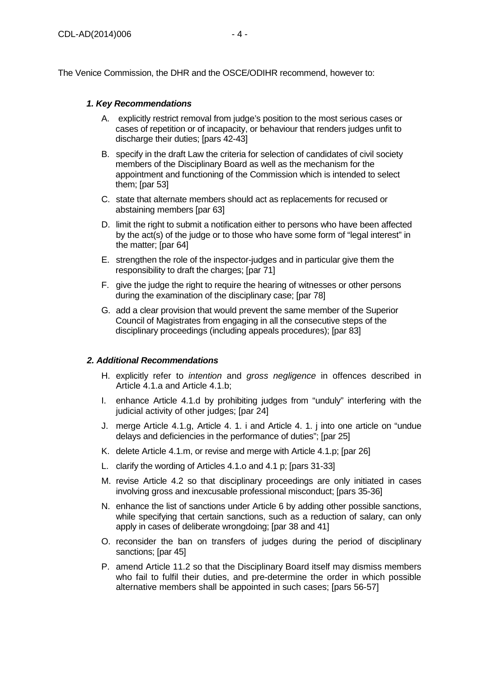The Venice Commission, the DHR and the OSCE/ODIHR recommend, however to:

#### **1. Key Recommendations**

- A. explicitly restrict removal from judge's position to the most serious cases or cases of repetition or of incapacity, or behaviour that renders judges unfit to discharge their duties; [pars 42-43]
- B. specify in the draft Law the criteria for selection of candidates of civil society members of the Disciplinary Board as well as the mechanism for the appointment and functioning of the Commission which is intended to select them; [par 53]
- C. state that alternate members should act as replacements for recused or abstaining members [par 63]
- D. limit the right to submit a notification either to persons who have been affected by the act(s) of the judge or to those who have some form of "legal interest" in the matter; [par 64]
- E. strengthen the role of the inspector-judges and in particular give them the responsibility to draft the charges; [par 71]
- F. give the judge the right to require the hearing of witnesses or other persons during the examination of the disciplinary case; [par 78]
- G. add a clear provision that would prevent the same member of the Superior Council of Magistrates from engaging in all the consecutive steps of the disciplinary proceedings (including appeals procedures); [par 83]

#### **2. Additional Recommendations**

- H. explicitly refer to *intention* and gross negligence in offences described in Article 4.1.a and Article 4.1.b;
- I. enhance Article 4.1.d by prohibiting judges from "unduly" interfering with the judicial activity of other judges; [par 24]
- J. merge Article 4.1.g, Article 4. 1. i and Article 4. 1. j into one article on "undue delays and deficiencies in the performance of duties"; [par 25]
- K. delete Article 4.1.m, or revise and merge with Article 4.1.p; [par 26]
- L. clarify the wording of Articles 4.1.o and 4.1 p; [pars 31-33]
- M. revise Article 4.2 so that disciplinary proceedings are only initiated in cases involving gross and inexcusable professional misconduct; [pars 35-36]
- N. enhance the list of sanctions under Article 6 by adding other possible sanctions, while specifying that certain sanctions, such as a reduction of salary, can only apply in cases of deliberate wrongdoing; [par 38 and 41]
- O. reconsider the ban on transfers of judges during the period of disciplinary sanctions: [par 45]
- P. amend Article 11.2 so that the Disciplinary Board itself may dismiss members who fail to fulfil their duties, and pre-determine the order in which possible alternative members shall be appointed in such cases; [pars 56-57]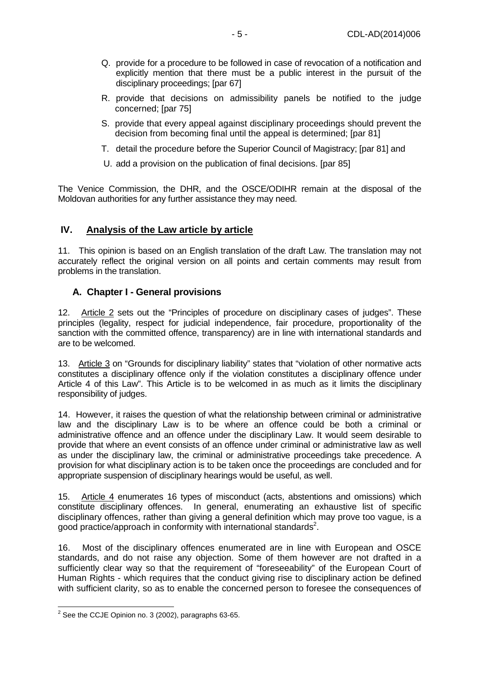- Q. provide for a procedure to be followed in case of revocation of a notification and explicitly mention that there must be a public interest in the pursuit of the disciplinary proceedings; [par 67]
- R. provide that decisions on admissibility panels be notified to the judge concerned; [par 75]
- S. provide that every appeal against disciplinary proceedings should prevent the decision from becoming final until the appeal is determined; [par 81]
- T. detail the procedure before the Superior Council of Magistracy; [par 81] and
- U. add a provision on the publication of final decisions. [par 85]

The Venice Commission, the DHR, and the OSCE/ODIHR remain at the disposal of the Moldovan authorities for any further assistance they may need.

## **IV. Analysis of the Law article by article**

11. This opinion is based on an English translation of the draft Law. The translation may not accurately reflect the original version on all points and certain comments may result from problems in the translation.

## **A. Chapter I - General provisions**

12. Article 2 sets out the "Principles of procedure on disciplinary cases of judges". These principles (legality, respect for judicial independence, fair procedure, proportionality of the sanction with the committed offence, transparency) are in line with international standards and are to be welcomed.

13. Article 3 on "Grounds for disciplinary liability" states that "violation of other normative acts constitutes a disciplinary offence only if the violation constitutes a disciplinary offence under Article 4 of this Law". This Article is to be welcomed in as much as it limits the disciplinary responsibility of judges.

14. However, it raises the question of what the relationship between criminal or administrative law and the disciplinary Law is to be where an offence could be both a criminal or administrative offence and an offence under the disciplinary Law. It would seem desirable to provide that where an event consists of an offence under criminal or administrative law as well as under the disciplinary law, the criminal or administrative proceedings take precedence. A provision for what disciplinary action is to be taken once the proceedings are concluded and for appropriate suspension of disciplinary hearings would be useful, as well.

15. Article 4 enumerates 16 types of misconduct (acts, abstentions and omissions) which constitute disciplinary offences. In general, enumerating an exhaustive list of specific disciplinary offences, rather than giving a general definition which may prove too vague, is a good practice/approach in conformity with international standards<sup>2</sup>.

16. Most of the disciplinary offences enumerated are in line with European and OSCE standards, and do not raise any objection. Some of them however are not drafted in a sufficiently clear way so that the requirement of "foreseeability" of the European Court of Human Rights - which requires that the conduct giving rise to disciplinary action be defined with sufficient clarity, so as to enable the concerned person to foresee the consequences of

 $\frac{1}{2}$  See the CCJE Opinion no. 3 (2002), paragraphs 63-65.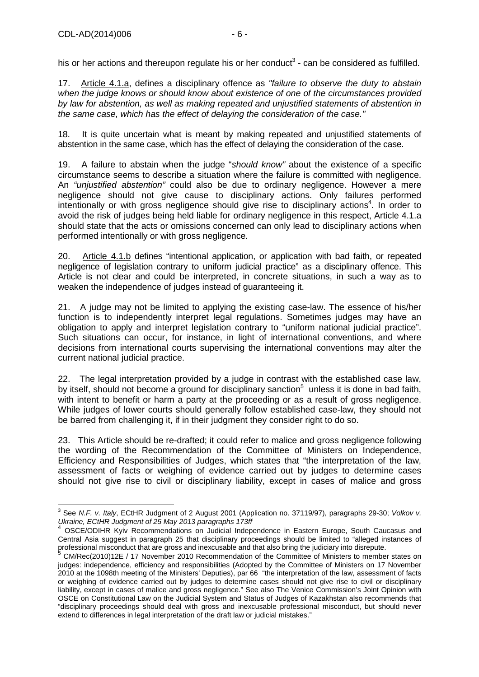17. Article 4.1.a, defines a disciplinary offence as "failure to observe the duty to abstain when the judge knows or should know about existence of one of the circumstances provided by law for abstention, as well as making repeated and unjustified statements of abstention in the same case, which has the effect of delaying the consideration of the case."

18. It is quite uncertain what is meant by making repeated and unjustified statements of abstention in the same case, which has the effect of delaying the consideration of the case.

19. A failure to abstain when the judge "should know" about the existence of a specific circumstance seems to describe a situation where the failure is committed with negligence. An "unjustified abstention" could also be due to ordinary negligence. However a mere negligence should not give cause to disciplinary actions. Only failures performed intentionally or with gross negligence should give rise to disciplinary actions<sup>4</sup>. In order to avoid the risk of judges being held liable for ordinary negligence in this respect, Article 4.1.a should state that the acts or omissions concerned can only lead to disciplinary actions when performed intentionally or with gross negligence.

20. Article 4.1.b defines "intentional application, or application with bad faith, or repeated negligence of legislation contrary to uniform judicial practice" as a disciplinary offence. This Article is not clear and could be interpreted, in concrete situations, in such a way as to weaken the independence of judges instead of guaranteeing it.

21. A judge may not be limited to applying the existing case-law. The essence of his/her function is to independently interpret legal regulations. Sometimes judges may have an obligation to apply and interpret legislation contrary to "uniform national judicial practice". Such situations can occur, for instance, in light of international conventions, and where decisions from international courts supervising the international conventions may alter the current national judicial practice.

22. The legal interpretation provided by a judge in contrast with the established case law, by itself, should not become a ground for disciplinary sanction<sup>5</sup> unless it is done in bad faith, with intent to benefit or harm a party at the proceeding or as a result of gross negligence. While judges of lower courts should generally follow established case-law, they should not be barred from challenging it, if in their judgment they consider right to do so.

23. This Article should be re-drafted; it could refer to malice and gross negligence following the wording of the Recommendation of the Committee of Ministers on Independence, Efficiency and Responsibilities of Judges, which states that "the interpretation of the law, assessment of facts or weighing of evidence carried out by judges to determine cases should not give rise to civil or disciplinary liability, except in cases of malice and gross

<sup>&</sup>lt;u>3</u><br>3 See N.*F. v. Italy*, ECtHR Judgment of 2 August 2001 (Application no. 37119/97), paragraphs 29-30; Volkov v. Ukraine, ECtHR Judgment of 25 May 2013 paragraphs 173ff

<sup>4</sup> OSCE/ODIHR Kyiv Recommendations on Judicial Independence in Eastern Europe, South Caucasus and Central Asia suggest in paragraph 25 that disciplinary proceedings should be limited to "alleged instances of professional misconduct that are gross and inexcusable and that also bring the judiciary into disrepute.<br>5 CM/Bes(2010)125 / 17 November 2010 Becommendation of the Committee of Ninisters to mambe

CM/Rec(2010)12E / 17 November 2010 Recommendation of the Committee of Ministers to member states on judges: independence, efficiency and responsibilities (Adopted by the Committee of Ministers on 17 November 2010 at the 1098th meeting of the Ministers' Deputies), par 66 "the interpretation of the law, assessment of facts or weighing of evidence carried out by judges to determine cases should not give rise to civil or disciplinary liability, except in cases of malice and gross negligence." See also The Venice Commission's Joint Opinion with OSCE on Constitutional Law on the Judicial System and Status of Judges of Kazakhstan also recommends that "disciplinary proceedings should deal with gross and inexcusable professional misconduct, but should never extend to differences in legal interpretation of the draft law or judicial mistakes."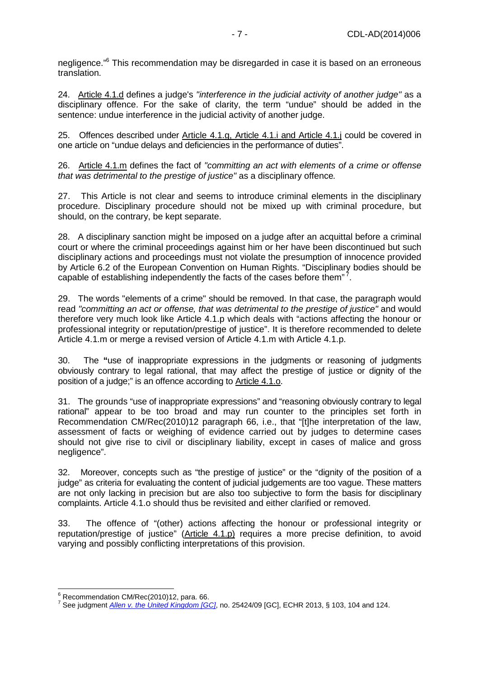negligence."<sup>6</sup> This recommendation may be disregarded in case it is based on an erroneous translation.

24. Article 4.1.d defines a judge's "interference in the judicial activity of another judge" as a disciplinary offence. For the sake of clarity, the term "undue" should be added in the sentence: undue interference in the judicial activity of another judge.

25. Offences described under Article 4.1.g, Article 4.1.i and Article 4.1.j could be covered in one article on "undue delays and deficiencies in the performance of duties".

26. Article 4.1.m defines the fact of "committing an act with elements of a crime or offense that was detrimental to the prestige of justice" as a disciplinary offence.

27. This Article is not clear and seems to introduce criminal elements in the disciplinary procedure. Disciplinary procedure should not be mixed up with criminal procedure, but should, on the contrary, be kept separate.

28. A disciplinary sanction might be imposed on a judge after an acquittal before a criminal court or where the criminal proceedings against him or her have been discontinued but such disciplinary actions and proceedings must not violate the presumption of innocence provided by Article 6.2 of the European Convention on Human Rights. "Disciplinary bodies should be capable of establishing independently the facts of the cases before them" $^7$ .

29. The words "elements of a crime" should be removed. In that case, the paragraph would read "committing an act or offense, that was detrimental to the prestige of justice" and would therefore very much look like Article 4.1.p which deals with "actions affecting the honour or professional integrity or reputation/prestige of justice". It is therefore recommended to delete Article 4.1.m or merge a revised version of Article 4.1.m with Article 4.1.p.

30. The **"**use of inappropriate expressions in the judgments or reasoning of judgments obviously contrary to legal rational, that may affect the prestige of justice or dignity of the position of a judge;" is an offence according to Article 4.1.o.

31. The grounds "use of inappropriate expressions" and "reasoning obviously contrary to legal rational" appear to be too broad and may run counter to the principles set forth in Recommendation CM/Rec(2010)12 paragraph 66, i.e., that "[t]he interpretation of the law, assessment of facts or weighing of evidence carried out by judges to determine cases should not give rise to civil or disciplinary liability, except in cases of malice and gross negligence".

32. Moreover, concepts such as "the prestige of justice" or the "dignity of the position of a judge" as criteria for evaluating the content of judicial judgements are too vague. These matters are not only lacking in precision but are also too subjective to form the basis for disciplinary complaints. Article 4.1.o should thus be revisited and either clarified or removed.

33. The offence of "(other) actions affecting the honour or professional integrity or reputation/prestige of justice" (Article 4.1.p) requires a more precise definition, to avoid varying and possibly conflicting interpretations of this provision.

 6 Recommendation CM/Rec(2010)12, para. 66.

<sup>&</sup>lt;sup>7</sup> See judgment *Allen v. the United Kingdom [GC]*, no. 25424/09 [GC], ECHR 2013, § 103, 104 and 124.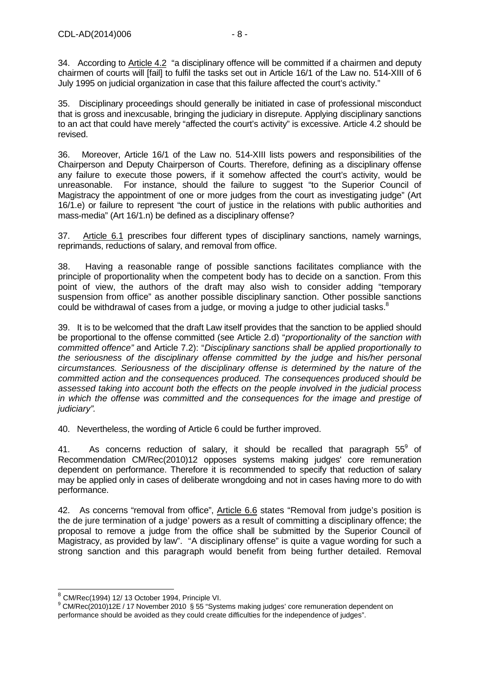34. According to Article 4.2 "a disciplinary offence will be committed if a chairmen and deputy chairmen of courts will [fail] to fulfil the tasks set out in Article 16/1 of the Law no. 514-XIII of 6 July 1995 on judicial organization in case that this failure affected the court's activity."

35. Disciplinary proceedings should generally be initiated in case of professional misconduct that is gross and inexcusable, bringing the judiciary in disrepute. Applying disciplinary sanctions to an act that could have merely "affected the court's activity" is excessive. Article 4.2 should be revised.

36. Moreover, Article 16/1 of the Law no. 514-XIII lists powers and responsibilities of the Chairperson and Deputy Chairperson of Courts. Therefore, defining as a disciplinary offense any failure to execute those powers, if it somehow affected the court's activity, would be unreasonable. For instance, should the failure to suggest "to the Superior Council of Magistracy the appointment of one or more judges from the court as investigating judge" (Art 16/1.e) or failure to represent "the court of justice in the relations with public authorities and mass-media" (Art 16/1.n) be defined as a disciplinary offense?

37. Article 6.1 prescribes four different types of disciplinary sanctions, namely warnings, reprimands, reductions of salary, and removal from office.

38. Having a reasonable range of possible sanctions facilitates compliance with the principle of proportionality when the competent body has to decide on a sanction. From this point of view, the authors of the draft may also wish to consider adding "temporary suspension from office" as another possible disciplinary sanction. Other possible sanctions could be withdrawal of cases from a judge, or moving a judge to other judicial tasks. $8$ 

39. It is to be welcomed that the draft Law itself provides that the sanction to be applied should be proportional to the offense committed (see Article 2.d) "proportionality of the sanction with committed offence" and Article 7.2): "Disciplinary sanctions shall be applied proportionally to the seriousness of the disciplinary offense committed by the judge and his/her personal circumstances. Seriousness of the disciplinary offense is determined by the nature of the committed action and the consequences produced. The consequences produced should be assessed taking into account both the effects on the people involved in the judicial process in which the offense was committed and the consequences for the image and prestige of judiciary".

40. Nevertheless, the wording of Article 6 could be further improved.

41. As concerns reduction of salary, it should be recalled that paragraph  $55^{\circ}$  of Recommendation CM/Rec(2010)12 opposes systems making judges' core remuneration dependent on performance. Therefore it is recommended to specify that reduction of salary may be applied only in cases of deliberate wrongdoing and not in cases having more to do with performance.

42. As concerns "removal from office", Article 6.6 states "Removal from judge's position is the de jure termination of a judge' powers as a result of committing a disciplinary offence; the proposal to remove a judge from the office shall be submitted by the Superior Council of Magistracy, as provided by law". "A disciplinary offense" is quite a vague wording for such a strong sanction and this paragraph would benefit from being further detailed. Removal

 $^8$  CM/Rec(1994) 12/ 13 October 1994, Principle VI.

<sup>&</sup>lt;sup>9</sup> CM/Rec(2010)12E / 17 November 2010 § 55 "Systems making judges' core remuneration dependent on performance should be avoided as they could create difficulties for the independence of judges".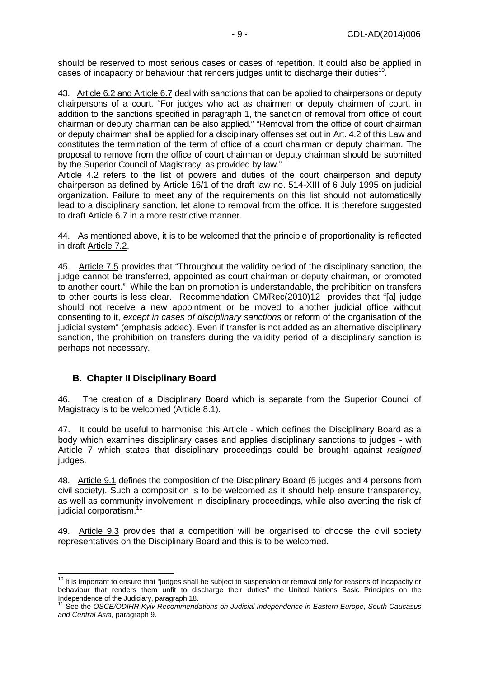should be reserved to most serious cases or cases of repetition. It could also be applied in cases of incapacity or behaviour that renders judges unfit to discharge their duties<sup>10</sup>.

43. Article 6.2 and Article 6.7 deal with sanctions that can be applied to chairpersons or deputy chairpersons of a court. "For judges who act as chairmen or deputy chairmen of court, in addition to the sanctions specified in paragraph 1, the sanction of removal from office of court chairman or deputy chairman can be also applied." "Removal from the office of court chairman or deputy chairman shall be applied for a disciplinary offenses set out in Art. 4.2 of this Law and constitutes the termination of the term of office of a court chairman or deputy chairman. The proposal to remove from the office of court chairman or deputy chairman should be submitted by the Superior Council of Magistracy, as provided by law."

Article 4.2 refers to the list of powers and duties of the court chairperson and deputy chairperson as defined by Article 16/1 of the draft law no. 514-XIII of 6 July 1995 on judicial organization. Failure to meet any of the requirements on this list should not automatically lead to a disciplinary sanction, let alone to removal from the office. It is therefore suggested to draft Article 6.7 in a more restrictive manner.

44. As mentioned above, it is to be welcomed that the principle of proportionality is reflected in draft Article 7.2.

45. Article 7.5 provides that "Throughout the validity period of the disciplinary sanction, the judge cannot be transferred, appointed as court chairman or deputy chairman, or promoted to another court." While the ban on promotion is understandable, the prohibition on transfers to other courts is less clear. Recommendation CM/Rec(2010)12 provides that "[a] judge should not receive a new appointment or be moved to another judicial office without consenting to it, except in cases of disciplinary sanctions or reform of the organisation of the judicial system" (emphasis added). Even if transfer is not added as an alternative disciplinary sanction, the prohibition on transfers during the validity period of a disciplinary sanction is perhaps not necessary.

## **B. Chapter II Disciplinary Board**

46. The creation of a Disciplinary Board which is separate from the Superior Council of Magistracy is to be welcomed (Article 8.1).

47. It could be useful to harmonise this Article - which defines the Disciplinary Board as a body which examines disciplinary cases and applies disciplinary sanctions to judges - with Article 7 which states that disciplinary proceedings could be brought against resigned judges.

48. Article 9.1 defines the composition of the Disciplinary Board (5 judges and 4 persons from civil society). Such a composition is to be welcomed as it should help ensure transparency, as well as community involvement in disciplinary proceedings, while also averting the risk of judicial corporatism.<sup>1</sup>

49. Article 9.3 provides that a competition will be organised to choose the civil society representatives on the Disciplinary Board and this is to be welcomed.

<sup>&</sup>lt;sup>10</sup> It is important to ensure that "judges shall be subject to suspension or removal only for reasons of incapacity or behaviour that renders them unfit to discharge their duties" the United Nations Basic Principles on the Independence of the Judiciary, paragraph 18.

See the OSCE/ODIHR Kyiv Recommendations on Judicial Independence in Eastern Europe, South Caucasus and Central Asia, paragraph 9.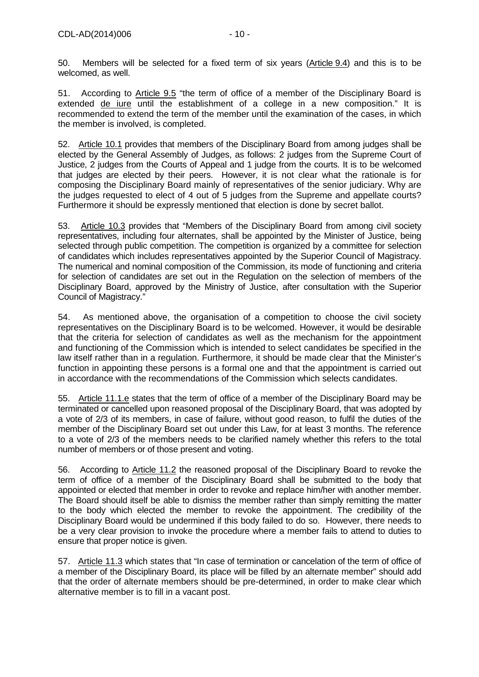50. Members will be selected for a fixed term of six years (Article 9.4) and this is to be welcomed, as well.

51. According to Article 9.5 "the term of office of a member of the Disciplinary Board is extended de iure until the establishment of a college in a new composition." It is recommended to extend the term of the member until the examination of the cases, in which the member is involved, is completed.

52. Article 10.1 provides that members of the Disciplinary Board from among judges shall be elected by the General Assembly of Judges, as follows: 2 judges from the Supreme Court of Justice, 2 judges from the Courts of Appeal and 1 judge from the courts. It is to be welcomed that judges are elected by their peers. However, it is not clear what the rationale is for composing the Disciplinary Board mainly of representatives of the senior judiciary. Why are the judges requested to elect of 4 out of 5 judges from the Supreme and appellate courts? Furthermore it should be expressly mentioned that election is done by secret ballot.

53. Article 10.3 provides that "Members of the Disciplinary Board from among civil society representatives, including four alternates, shall be appointed by the Minister of Justice, being selected through public competition. The competition is organized by a committee for selection of candidates which includes representatives appointed by the Superior Council of Magistracy. The numerical and nominal composition of the Commission, its mode of functioning and criteria for selection of candidates are set out in the Regulation on the selection of members of the Disciplinary Board, approved by the Ministry of Justice, after consultation with the Superior Council of Magistracy."

54. As mentioned above, the organisation of a competition to choose the civil society representatives on the Disciplinary Board is to be welcomed. However, it would be desirable that the criteria for selection of candidates as well as the mechanism for the appointment and functioning of the Commission which is intended to select candidates be specified in the law itself rather than in a regulation. Furthermore, it should be made clear that the Minister's function in appointing these persons is a formal one and that the appointment is carried out in accordance with the recommendations of the Commission which selects candidates.

55. Article 11.1.e states that the term of office of a member of the Disciplinary Board may be terminated or cancelled upon reasoned proposal of the Disciplinary Board, that was adopted by a vote of 2/3 of its members, in case of failure, without good reason, to fulfil the duties of the member of the Disciplinary Board set out under this Law, for at least 3 months. The reference to a vote of 2/3 of the members needs to be clarified namely whether this refers to the total number of members or of those present and voting.

56. According to Article 11.2 the reasoned proposal of the Disciplinary Board to revoke the term of office of a member of the Disciplinary Board shall be submitted to the body that appointed or elected that member in order to revoke and replace him/her with another member. The Board should itself be able to dismiss the member rather than simply remitting the matter to the body which elected the member to revoke the appointment. The credibility of the Disciplinary Board would be undermined if this body failed to do so. However, there needs to be a very clear provision to invoke the procedure where a member fails to attend to duties to ensure that proper notice is given.

57. Article 11.3 which states that "In case of termination or cancelation of the term of office of a member of the Disciplinary Board, its place will be filled by an alternate member" should add that the order of alternate members should be pre-determined, in order to make clear which alternative member is to fill in a vacant post.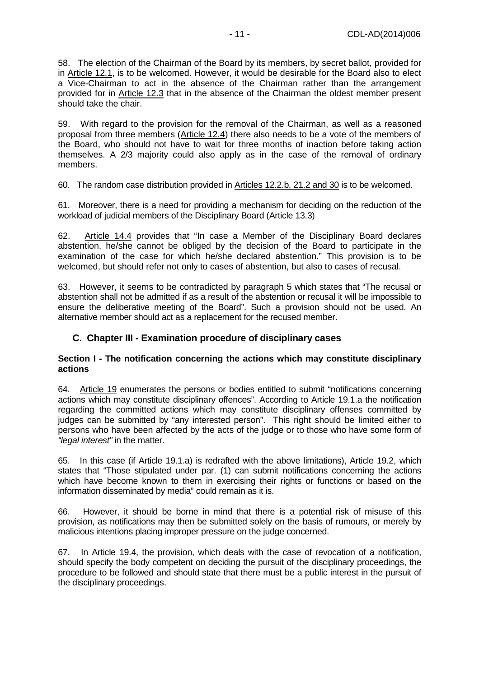58. The election of the Chairman of the Board by its members, by secret ballot, provided for in Article 12.1, is to be welcomed. However, it would be desirable for the Board also to elect a Vice-Chairman to act in the absence of the Chairman rather than the arrangement provided for in Article 12.3 that in the absence of the Chairman the oldest member present should take the chair.

59. With regard to the provision for the removal of the Chairman, as well as a reasoned proposal from three members (Article 12.4) there also needs to be a vote of the members of the Board, who should not have to wait for three months of inaction before taking action themselves. A 2/3 majority could also apply as in the case of the removal of ordinary members.

60. The random case distribution provided in Articles 12.2.b, 21.2 and 30 is to be welcomed.

61. Moreover, there is a need for providing a mechanism for deciding on the reduction of the workload of judicial members of the Disciplinary Board (Article 13.3)

62. Article 14.4 provides that "In case a Member of the Disciplinary Board declares abstention, he/she cannot be obliged by the decision of the Board to participate in the examination of the case for which he/she declared abstention." This provision is to be welcomed, but should refer not only to cases of abstention, but also to cases of recusal.

63. However, it seems to be contradicted by paragraph 5 which states that "The recusal or abstention shall not be admitted if as a result of the abstention or recusal it will be impossible to ensure the deliberative meeting of the Board". Such a provision should not be used. An alternative member should act as a replacement for the recused member.

#### **C. Chapter III - Examination procedure of disciplinary cases**

#### **Section I - The notification concerning the actions which may constitute disciplinary actions**

64. Article 19 enumerates the persons or bodies entitled to submit "notifications concerning actions which may constitute disciplinary offences". According to Article 19.1.a the notification regarding the committed actions which may constitute disciplinary offenses committed by judges can be submitted by "any interested person". This right should be limited either to persons who have been affected by the acts of the judge or to those who have some form of "legal interest" in the matter.

65. In this case (if Article 19.1.a) is redrafted with the above limitations), Article 19.2, which states that "Those stipulated under par. (1) can submit notifications concerning the actions which have become known to them in exercising their rights or functions or based on the information disseminated by media" could remain as it is.

66. However, it should be borne in mind that there is a potential risk of misuse of this provision, as notifications may then be submitted solely on the basis of rumours, or merely by malicious intentions placing improper pressure on the judge concerned.

67. In Article 19.4, the provision, which deals with the case of revocation of a notification, should specify the body competent on deciding the pursuit of the disciplinary proceedings, the procedure to be followed and should state that there must be a public interest in the pursuit of the disciplinary proceedings.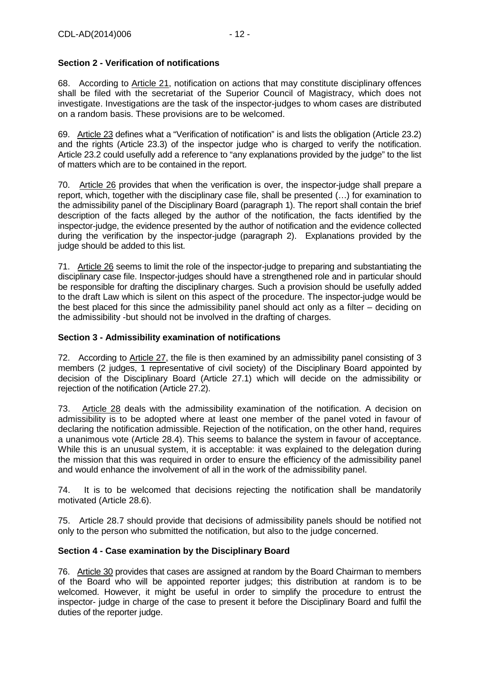## **Section 2 - Verification of notifications**

68. According to Article 21, notification on actions that may constitute disciplinary offences shall be filed with the secretariat of the Superior Council of Magistracy, which does not investigate. Investigations are the task of the inspector-judges to whom cases are distributed on a random basis. These provisions are to be welcomed.

69. Article 23 defines what a "Verification of notification" is and lists the obligation (Article 23.2) and the rights (Article 23.3) of the inspector judge who is charged to verify the notification. Article 23.2 could usefully add a reference to "any explanations provided by the judge" to the list of matters which are to be contained in the report.

70. Article 26 provides that when the verification is over, the inspector-judge shall prepare a report, which, together with the disciplinary case file, shall be presented (…) for examination to the admissibility panel of the Disciplinary Board (paragraph 1). The report shall contain the brief description of the facts alleged by the author of the notification, the facts identified by the inspector-judge, the evidence presented by the author of notification and the evidence collected during the verification by the inspector-judge (paragraph 2). Explanations provided by the judge should be added to this list.

71. Article 26 seems to limit the role of the inspector-judge to preparing and substantiating the disciplinary case file. Inspector-judges should have a strengthened role and in particular should be responsible for drafting the disciplinary charges. Such a provision should be usefully added to the draft Law which is silent on this aspect of the procedure. The inspector-judge would be the best placed for this since the admissibility panel should act only as a filter – deciding on the admissibility -but should not be involved in the drafting of charges.

## **Section 3 - Admissibility examination of notifications**

72. According to Article 27, the file is then examined by an admissibility panel consisting of 3 members (2 judges, 1 representative of civil society) of the Disciplinary Board appointed by decision of the Disciplinary Board (Article 27.1) which will decide on the admissibility or rejection of the notification (Article 27.2).

73. Article 28 deals with the admissibility examination of the notification. A decision on admissibility is to be adopted where at least one member of the panel voted in favour of declaring the notification admissible. Rejection of the notification, on the other hand, requires a unanimous vote (Article 28.4). This seems to balance the system in favour of acceptance. While this is an unusual system, it is acceptable: it was explained to the delegation during the mission that this was required in order to ensure the efficiency of the admissibility panel and would enhance the involvement of all in the work of the admissibility panel.

74. It is to be welcomed that decisions rejecting the notification shall be mandatorily motivated (Article 28.6).

75. Article 28.7 should provide that decisions of admissibility panels should be notified not only to the person who submitted the notification, but also to the judge concerned.

## **Section 4 - Case examination by the Disciplinary Board**

76. Article 30 provides that cases are assigned at random by the Board Chairman to members of the Board who will be appointed reporter judges; this distribution at random is to be welcomed. However, it might be useful in order to simplify the procedure to entrust the inspector- judge in charge of the case to present it before the Disciplinary Board and fulfil the duties of the reporter judge.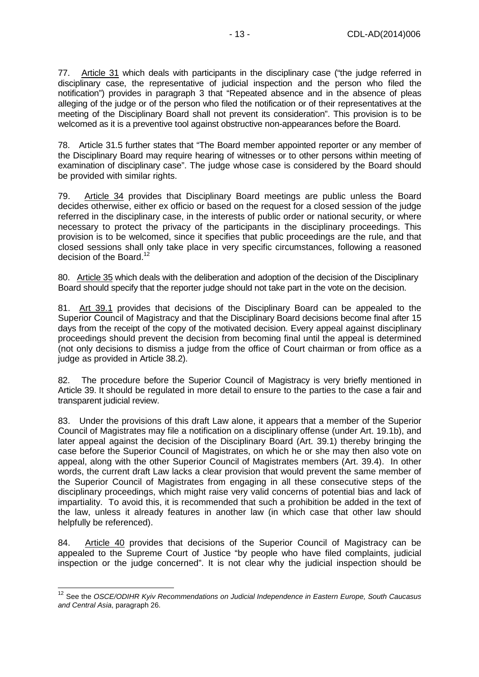77. Article 31 which deals with participants in the disciplinary case ("the judge referred in disciplinary case, the representative of judicial inspection and the person who filed the notification") provides in paragraph 3 that "Repeated absence and in the absence of pleas alleging of the judge or of the person who filed the notification or of their representatives at the meeting of the Disciplinary Board shall not prevent its consideration". This provision is to be welcomed as it is a preventive tool against obstructive non-appearances before the Board.

78. Article 31.5 further states that "The Board member appointed reporter or any member of the Disciplinary Board may require hearing of witnesses or to other persons within meeting of examination of disciplinary case". The judge whose case is considered by the Board should be provided with similar rights.

79. Article 34 provides that Disciplinary Board meetings are public unless the Board decides otherwise, either ex officio or based on the request for a closed session of the judge referred in the disciplinary case, in the interests of public order or national security, or where necessary to protect the privacy of the participants in the disciplinary proceedings. This provision is to be welcomed, since it specifies that public proceedings are the rule, and that closed sessions shall only take place in very specific circumstances, following a reasoned decision of the Board.<sup>12</sup>

80. Article 35 which deals with the deliberation and adoption of the decision of the Disciplinary Board should specify that the reporter judge should not take part in the vote on the decision.

81. Art 39.1 provides that decisions of the Disciplinary Board can be appealed to the Superior Council of Magistracy and that the Disciplinary Board decisions become final after 15 days from the receipt of the copy of the motivated decision. Every appeal against disciplinary proceedings should prevent the decision from becoming final until the appeal is determined (not only decisions to dismiss a judge from the office of Court chairman or from office as a judge as provided in Article 38.2).

82. The procedure before the Superior Council of Magistracy is very briefly mentioned in Article 39. It should be regulated in more detail to ensure to the parties to the case a fair and transparent judicial review.

83. Under the provisions of this draft Law alone, it appears that a member of the Superior Council of Magistrates may file a notification on a disciplinary offense (under Art. 19.1b), and later appeal against the decision of the Disciplinary Board (Art. 39.1) thereby bringing the case before the Superior Council of Magistrates, on which he or she may then also vote on appeal, along with the other Superior Council of Magistrates members (Art. 39.4). In other words, the current draft Law lacks a clear provision that would prevent the same member of the Superior Council of Magistrates from engaging in all these consecutive steps of the disciplinary proceedings, which might raise very valid concerns of potential bias and lack of impartiality. To avoid this, it is recommended that such a prohibition be added in the text of the law, unless it already features in another law (in which case that other law should helpfully be referenced).

84. Article 40 provides that decisions of the Superior Council of Magistracy can be appealed to the Supreme Court of Justice "by people who have filed complaints, judicial inspection or the judge concerned". It is not clear why the judicial inspection should be

 $\overline{a}$ 

<sup>&</sup>lt;sup>12</sup> See the OSCE/ODIHR Kyiv Recommendations on Judicial Independence in Eastern Europe, South Caucasus and Central Asia, paragraph 26.